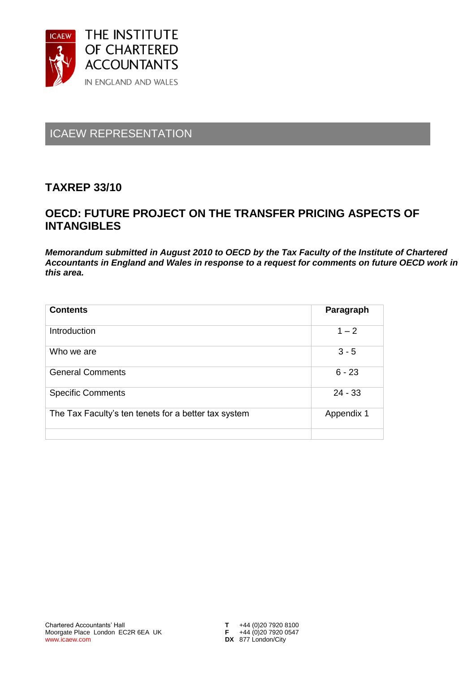

# ICAEW REPRESENTATION

## **TAXREP 33/10**

## **OECD: FUTURE PROJECT ON THE TRANSFER PRICING ASPECTS OF INTANGIBLES**

*Memorandum submitted in August 2010 to OECD by the Tax Faculty of the Institute of Chartered Accountants in England and Wales in response to a request for comments on future OECD work in this area.* 

| <b>Contents</b>                                      | Paragraph  |
|------------------------------------------------------|------------|
| Introduction                                         | $1 - 2$    |
| Who we are                                           | $3 - 5$    |
| <b>General Comments</b>                              | $6 - 23$   |
| <b>Specific Comments</b>                             | $24 - 33$  |
| The Tax Faculty's ten tenets for a better tax system | Appendix 1 |
|                                                      |            |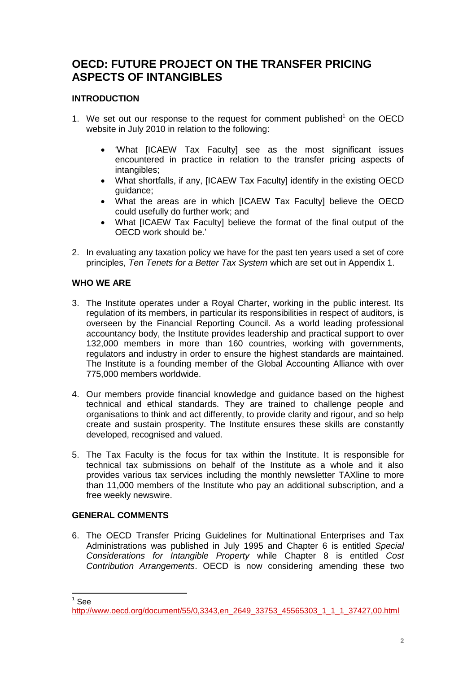## **OECD: FUTURE PROJECT ON THE TRANSFER PRICING ASPECTS OF INTANGIBLES**

### **INTRODUCTION**

- 1. We set out our response to the request for comment published $<sup>1</sup>$  on the OECD</sup> website in July 2010 in relation to the following:
	- 'What [ICAEW Tax Faculty] see as the most significant issues encountered in practice in relation to the transfer pricing aspects of intangibles;
	- What shortfalls, if any, IICAEW Tax Facultyl identify in the existing OECD guidance;
	- What the areas are in which [ICAEW Tax Faculty] believe the OECD could usefully do further work; and
	- What [ICAEW Tax Faculty] believe the format of the final output of the OECD work should be.'
- 2. In evaluating any taxation policy we have for the past ten years used a set of core principles, *Ten Tenets for a Better Tax System* which are set out in Appendix 1.

#### **WHO WE ARE**

- 3. The Institute operates under a Royal Charter, working in the public interest. Its regulation of its members, in particular its responsibilities in respect of auditors, is overseen by the Financial Reporting Council. As a world leading professional accountancy body, the Institute provides leadership and practical support to over 132,000 members in more than 160 countries, working with governments, regulators and industry in order to ensure the highest standards are maintained. The Institute is a founding member of the Global Accounting Alliance with over 775,000 members worldwide.
- 4. Our members provide financial knowledge and guidance based on the highest technical and ethical standards. They are trained to challenge people and organisations to think and act differently, to provide clarity and rigour, and so help create and sustain prosperity. The Institute ensures these skills are constantly developed, recognised and valued.
- 5. The Tax Faculty is the focus for tax within the Institute. It is responsible for technical tax submissions on behalf of the Institute as a whole and it also provides various tax services including the monthly newsletter TAXline to more than 11,000 members of the Institute who pay an additional subscription, and a free weekly newswire.

#### **GENERAL COMMENTS**

6. The OECD Transfer Pricing Guidelines for Multinational Enterprises and Tax Administrations was published in July 1995 and Chapter 6 is entitled *Special Considerations for Intangible Property* while Chapter 8 is entitled *Cost Contribution Arrangements*. OECD is now considering amending these two

 $\frac{1}{1}$ See

[http://www.oecd.org/document/55/0,3343,en\\_2649\\_33753\\_45565303\\_1\\_1\\_1\\_37427,00.html](http://www.oecd.org/document/55/0,3343,en_2649_33753_45565303_1_1_1_37427,00.html)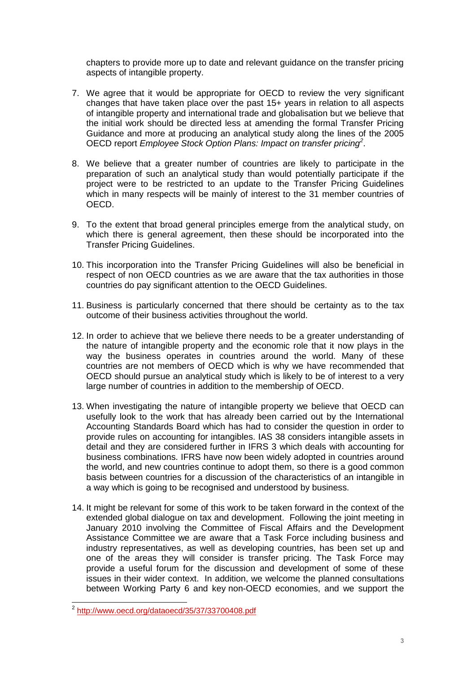chapters to provide more up to date and relevant guidance on the transfer pricing aspects of intangible property.

- 7. We agree that it would be appropriate for OECD to review the very significant changes that have taken place over the past 15+ years in relation to all aspects of intangible property and international trade and globalisation but we believe that the initial work should be directed less at amending the formal Transfer Pricing Guidance and more at producing an analytical study along the lines of the 2005 OECD report *Employee Stock Option Plans: Impact on transfer pricing<sup>2</sup>* .
- 8. We believe that a greater number of countries are likely to participate in the preparation of such an analytical study than would potentially participate if the project were to be restricted to an update to the Transfer Pricing Guidelines which in many respects will be mainly of interest to the 31 member countries of OECD.
- 9. To the extent that broad general principles emerge from the analytical study, on which there is general agreement, then these should be incorporated into the Transfer Pricing Guidelines.
- 10. This incorporation into the Transfer Pricing Guidelines will also be beneficial in respect of non OECD countries as we are aware that the tax authorities in those countries do pay significant attention to the OECD Guidelines.
- 11. Business is particularly concerned that there should be certainty as to the tax outcome of their business activities throughout the world.
- 12. In order to achieve that we believe there needs to be a greater understanding of the nature of intangible property and the economic role that it now plays in the way the business operates in countries around the world. Many of these countries are not members of OECD which is why we have recommended that OECD should pursue an analytical study which is likely to be of interest to a very large number of countries in addition to the membership of OECD.
- 13. When investigating the nature of intangible property we believe that OECD can usefully look to the work that has already been carried out by the International Accounting Standards Board which has had to consider the question in order to provide rules on accounting for intangibles. IAS 38 considers intangible assets in detail and they are considered further in IFRS 3 which deals with accounting for business combinations. IFRS have now been widely adopted in countries around the world, and new countries continue to adopt them, so there is a good common basis between countries for a discussion of the characteristics of an intangible in a way which is going to be recognised and understood by business.
- 14. It might be relevant for some of this work to be taken forward in the context of the extended global dialogue on tax and development. Following the joint meeting in January 2010 involving the Committee of Fiscal Affairs and the Development Assistance Committee we are aware that a Task Force including business and industry representatives, as well as developing countries, has been set up and one of the areas they will consider is transfer pricing. The Task Force may provide a useful forum for the discussion and development of some of these issues in their wider context. In addition, we welcome the planned consultations between Working Party 6 and key non-OECD economies, and we support the

 2 <http://www.oecd.org/dataoecd/35/37/33700408.pdf>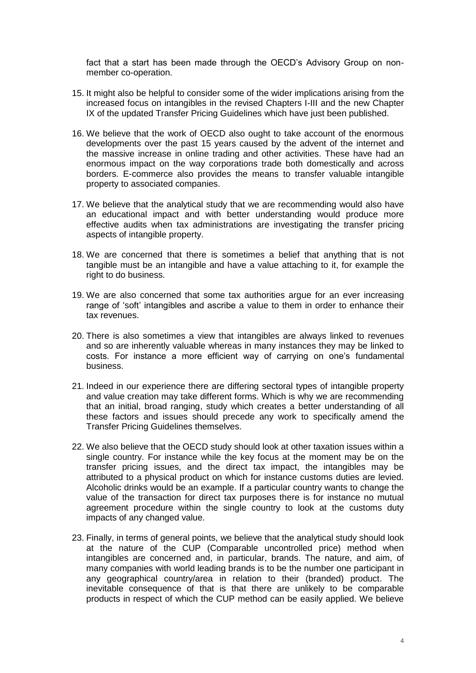fact that a start has been made through the OECD's Advisory Group on nonmember co-operation.

- 15. It might also be helpful to consider some of the wider implications arising from the increased focus on intangibles in the revised Chapters I-III and the new Chapter IX of the updated Transfer Pricing Guidelines which have just been published.
- 16. We believe that the work of OECD also ought to take account of the enormous developments over the past 15 years caused by the advent of the internet and the massive increase in online trading and other activities. These have had an enormous impact on the way corporations trade both domestically and across borders. E-commerce also provides the means to transfer valuable intangible property to associated companies.
- 17. We believe that the analytical study that we are recommending would also have an educational impact and with better understanding would produce more effective audits when tax administrations are investigating the transfer pricing aspects of intangible property.
- 18. We are concerned that there is sometimes a belief that anything that is not tangible must be an intangible and have a value attaching to it, for example the right to do business.
- 19. We are also concerned that some tax authorities argue for an ever increasing range of 'soft' intangibles and ascribe a value to them in order to enhance their tax revenues.
- 20. There is also sometimes a view that intangibles are always linked to revenues and so are inherently valuable whereas in many instances they may be linked to costs. For instance a more efficient way of carrying on one's fundamental business.
- 21. Indeed in our experience there are differing sectoral types of intangible property and value creation may take different forms. Which is why we are recommending that an initial, broad ranging, study which creates a better understanding of all these factors and issues should precede any work to specifically amend the Transfer Pricing Guidelines themselves.
- 22. We also believe that the OECD study should look at other taxation issues within a single country. For instance while the key focus at the moment may be on the transfer pricing issues, and the direct tax impact, the intangibles may be attributed to a physical product on which for instance customs duties are levied. Alcoholic drinks would be an example. If a particular country wants to change the value of the transaction for direct tax purposes there is for instance no mutual agreement procedure within the single country to look at the customs duty impacts of any changed value.
- 23. Finally, in terms of general points, we believe that the analytical study should look at the nature of the CUP (Comparable uncontrolled price) method when intangibles are concerned and, in particular, brands. The nature, and aim, of many companies with world leading brands is to be the number one participant in any geographical country/area in relation to their (branded) product. The inevitable consequence of that is that there are unlikely to be comparable products in respect of which the CUP method can be easily applied. We believe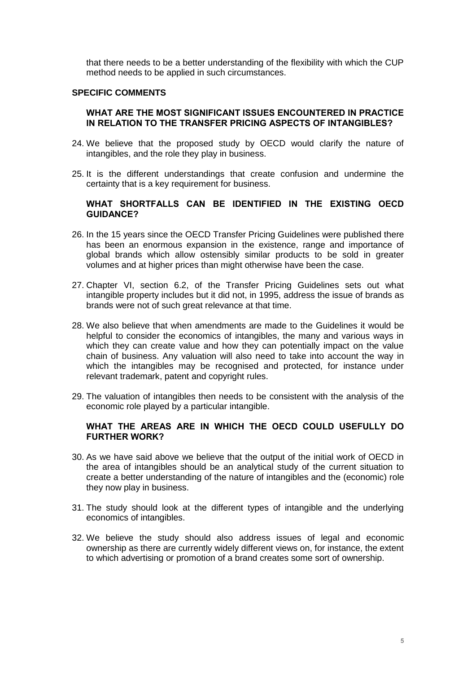that there needs to be a better understanding of the flexibility with which the CUP method needs to be applied in such circumstances.

#### **SPECIFIC COMMENTS**

#### **WHAT ARE THE MOST SIGNIFICANT ISSUES ENCOUNTERED IN PRACTICE IN RELATION TO THE TRANSFER PRICING ASPECTS OF INTANGIBLES?**

- 24. We believe that the proposed study by OECD would clarify the nature of intangibles, and the role they play in business.
- 25. It is the different understandings that create confusion and undermine the certainty that is a key requirement for business.

#### **WHAT SHORTFALLS CAN BE IDENTIFIED IN THE EXISTING OECD GUIDANCE?**

- 26. In the 15 years since the OECD Transfer Pricing Guidelines were published there has been an enormous expansion in the existence, range and importance of global brands which allow ostensibly similar products to be sold in greater volumes and at higher prices than might otherwise have been the case.
- 27. Chapter VI, section 6.2, of the Transfer Pricing Guidelines sets out what intangible property includes but it did not, in 1995, address the issue of brands as brands were not of such great relevance at that time.
- 28. We also believe that when amendments are made to the Guidelines it would be helpful to consider the economics of intangibles, the many and various ways in which they can create value and how they can potentially impact on the value chain of business. Any valuation will also need to take into account the way in which the intangibles may be recognised and protected, for instance under relevant trademark, patent and copyright rules.
- 29. The valuation of intangibles then needs to be consistent with the analysis of the economic role played by a particular intangible.

#### **WHAT THE AREAS ARE IN WHICH THE OECD COULD USEFULLY DO FURTHER WORK?**

- 30. As we have said above we believe that the output of the initial work of OECD in the area of intangibles should be an analytical study of the current situation to create a better understanding of the nature of intangibles and the (economic) role they now play in business.
- 31. The study should look at the different types of intangible and the underlying economics of intangibles.
- 32. We believe the study should also address issues of legal and economic ownership as there are currently widely different views on, for instance, the extent to which advertising or promotion of a brand creates some sort of ownership.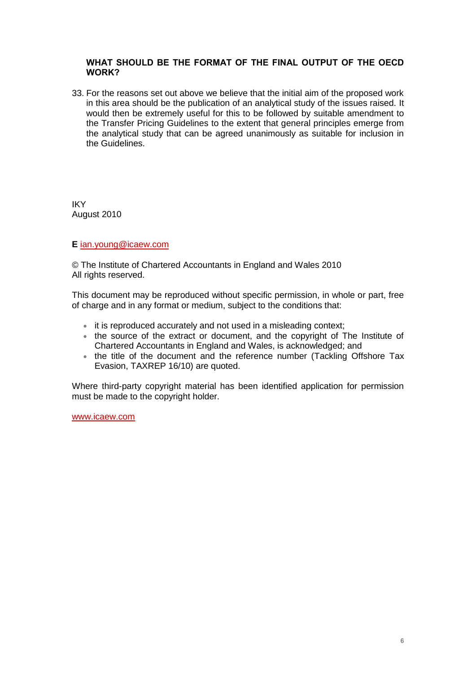#### **WHAT SHOULD BE THE FORMAT OF THE FINAL OUTPUT OF THE OECD WORK?**

33. For the reasons set out above we believe that the initial aim of the proposed work in this area should be the publication of an analytical study of the issues raised. It would then be extremely useful for this to be followed by suitable amendment to the Transfer Pricing Guidelines to the extent that general principles emerge from the analytical study that can be agreed unanimously as suitable for inclusion in the Guidelines.

IKY August 2010

#### **E** [ian.young@icaew.com](mailto:jane.moore@icaew.com)

© The Institute of Chartered Accountants in England and Wales 2010 All rights reserved.

This document may be reproduced without specific permission, in whole or part, free of charge and in any format or medium, subject to the conditions that:

- it is reproduced accurately and not used in a misleading context;
- the source of the extract or document, and the copyright of The Institute of Chartered Accountants in England and Wales, is acknowledged; and
- the title of the document and the reference number (Tackling Offshore Tax Evasion, TAXREP 16/10) are quoted.

Where third-party copyright material has been identified application for permission must be made to the copyright holder.

www.icaew.com